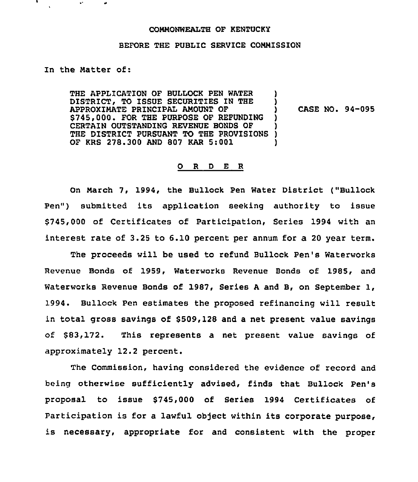## CONNONWEALTH OF KENTUCKY

## BEFORE THE PUBLIC SERVICE CONMISSION

In the Natter of:

THE APPLICATION OF BULLOCK PEN WATER DISTRICT, TO ISSUE SECURITIES IN THE APPROXIMATE PRINCIPAL ANOUNT OF \$745,000. FOR THE PURPOSE OF REFUNDING CERTAIN OUTSTANDING REVENUE BONDS OF THE DISTRICT PURSUANT TO THE PROVISIONS OF KRS 278.300 AND 807 KAR 5:001 )

) CASE NO. 94-095

) )

) ) )

## 0 <sup>R</sup> <sup>D</sup> E <sup>R</sup>

On Narch 7, 1994, the Bullock Pen Water District ("Bullock Pen") submitted its application seeking authority to issue \$745,000 of Certificates of Participation, Series 1994 with an interest rate of 3.25 to 6.10 percent per annum for a 20 year term.

The proceeds will be used to refund Bullock Pen's Waterworks Revenue Bonds of 1959, Waterworks Revenue Bonds of 1985, and Waterworks Revenue Bonds of 1987, Series <sup>A</sup> and B, on September 1, 1994. Bullock Pen estimates the proposed refinancing will result in total gross savings of \$509,128 and a net present value savings of \$83,172. This represents a net present value savings of approximately 12.2 percent.

The Commission, having considered the evidence of record and being otherwise sufficiently advised, finds that Bullock Pen's proposal to issue \$745,000 of Series 1994 Certificates of Participation is for a lawful object within its corporate purpose, is necessary, appropriate for and consistent with the proper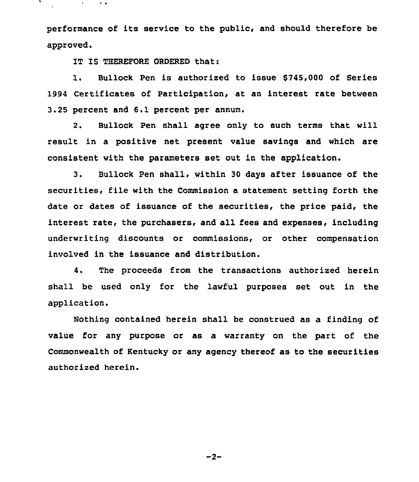performance of its service to the public, and should therefore be approved.

IT IS THEREFORE ORDERED that:

 $\mathbf{e}^{(1)}$  and

 $\mathbf{v}$  .

1. Bullock Pen is authorized to issue \$745,000 of Series 1994 Certificates of Participation, at an interest rate between 3.25 percent and 6.1 percent per annum.

2. Bullock Pen shall agree only to such tezms that will result in a positive net present value savings and which are consistent with the parameters set out in the application.

3. Bullock Pen shall, within 30 days after issuance of the securities, file with the Commission a statement setting forth the date or dates of issuance of the securities, the price paid, the interest rate, the purchasers, and all fees and expenses, including underwriting discounts or commissions, or other compensation involved in the issuance and distribution.

4. The proceeds from the transactions authorized herein shall be used only for the lawful purposes set out in the application.

Nothing contained herein shall be construed as a finding of value for any purpose or as a warranty on the part of the Commonwealth of Kentucky or any agency thereof as to the securities authorized herein.

 $-2-$